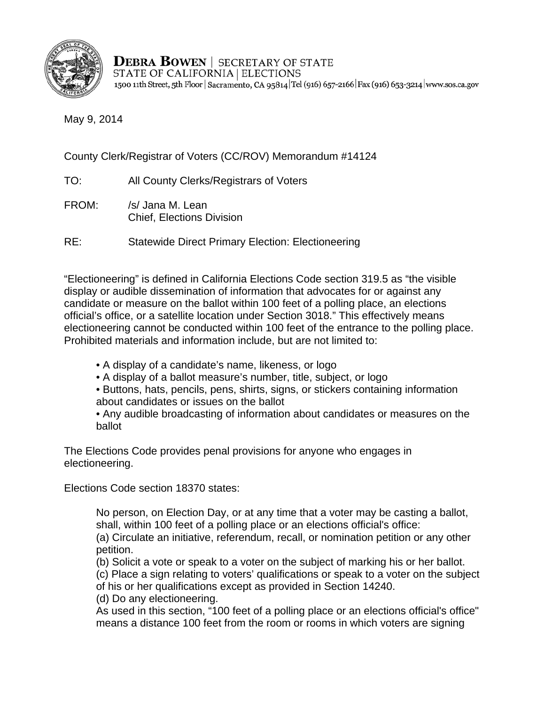

**DEBRA BOWEN | SECRETARY OF STATE STATE OF CALIFORNIA | ELECTIONS** 1500 11th Street, 5th Floor | Sacramento, CA 95814 Tel (916) 657-2166 | Fax (916) 653-3214 | www.sos.ca.gov

May 9, 2014

County Clerk/Registrar of Voters (CC/ROV) Memorandum #14124

- TO: All County Clerks/Registrars of Voters
- FROM: /s/ Jana M. Lean Chief, Elections Division

RE: Statewide Direct Primary Election: Electioneering

"Electioneering" is defined in California Elections Code section 319.5 as "the visible display or audible dissemination of information that advocates for or against any candidate or measure on the ballot within 100 feet of a polling place, an elections official's office, or a satellite location under Section 3018." This effectively means electioneering cannot be conducted within 100 feet of the entrance to the polling place. Prohibited materials and information include, but are not limited to:

- A display of a candidate's name, likeness, or logo
- A display of a ballot measure's number, title, subject, or logo
- Buttons, hats, pencils, pens, shirts, signs, or stickers containing information about candidates or issues on the ballot
- Any audible broadcasting of information about candidates or measures on the ballot

The Elections Code provides penal provisions for anyone who engages in electioneering.

Elections Code section 18370 states:

No person, on Election Day, or at any time that a voter may be casting a ballot, shall, within 100 feet of a polling place or an elections official's office: (a) Circulate an initiative, referendum, recall, or nomination petition or any other petition.

(b) Solicit a vote or speak to a voter on the subject of marking his or her ballot.

(c) Place a sign relating to voters' qualifications or speak to a voter on the subject

of his or her qualifications except as provided in Section 14240.

(d) Do any electioneering.

As used in this section, "100 feet of a polling place or an elections official's office" means a distance 100 feet from the room or rooms in which voters are signing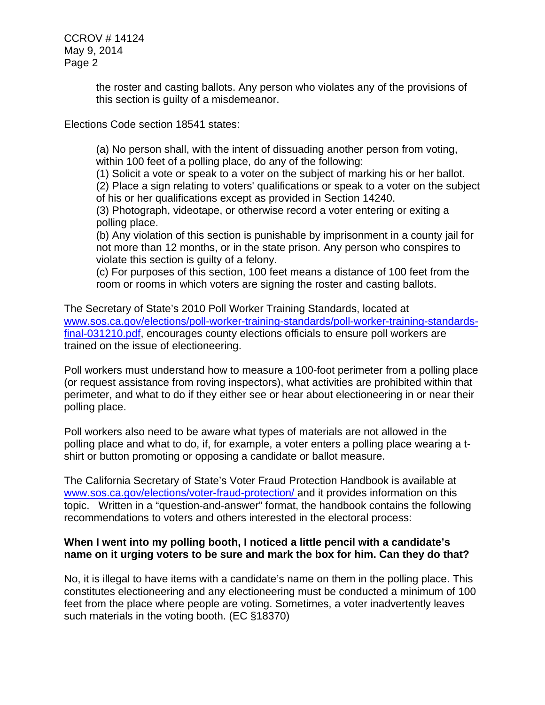CCROV # 14124 May 9, 2014 Page 2

> the roster and casting ballots. Any person who violates any of the provisions of this section is guilty of a misdemeanor.

Elections Code section 18541 states:

(a) No person shall, with the intent of dissuading another person from voting, within 100 feet of a polling place, do any of the following:

(1) Solicit a vote or speak to a voter on the subject of marking his or her ballot.

(2) Place a sign relating to voters' qualifications or speak to a voter on the subject of his or her qualifications except as provided in Section 14240.

(3) Photograph, videotape, or otherwise record a voter entering or exiting a polling place.

(b) Any violation of this section is punishable by imprisonment in a county jail for not more than 12 months, or in the state prison. Any person who conspires to violate this section is guilty of a felony.

(c) For purposes of this section, 100 feet means a distance of 100 feet from the room or rooms in which voters are signing the roster and casting ballots.

The Secretary of State's 2010 Poll Worker Training Standards, located at www.sos.ca.gov/elections/poll-worker-training-standards/poll-worker-training-standards[final-031210.pdf,](http://elections.cdn.sos.ca.gov/poll-worker-training-standards/poll-worker-training-standards-final-031210.pdf) encourages county elections officials to ensure poll workers are trained on the issue of electioneering.

Poll workers must understand how to measure a 100-foot perimeter from a polling place (or request assistance from roving inspectors), what activities are prohibited within that perimeter, and what to do if they either see or hear about electioneering in or near their polling place.

Poll workers also need to be aware what types of materials are not allowed in the polling place and what to do, if, for example, a voter enters a polling place wearing a tshirt or button promoting or opposing a candidate or ballot measure.

The California Secretary of State's Voter Fraud Protection Handbook is available at www.sos.ca.gov/elections/voter-fraud-protection/ and it provides information on this topic. Written in a "question-and-answer" format, the handbook contains the following recommendations to voters and others interested in the electoral process:

## **When I went into my polling booth, I noticed a little pencil with a candidate's name on it urging voters to be sure and mark the box for him. Can they do that?**

No, it is illegal to have items with a candidate's name on them in the polling place. This constitutes electioneering and any electioneering must be conducted a minimum of 100 feet from the place where people are voting. Sometimes, a voter inadvertently leaves such materials in the voting booth. (EC §18370)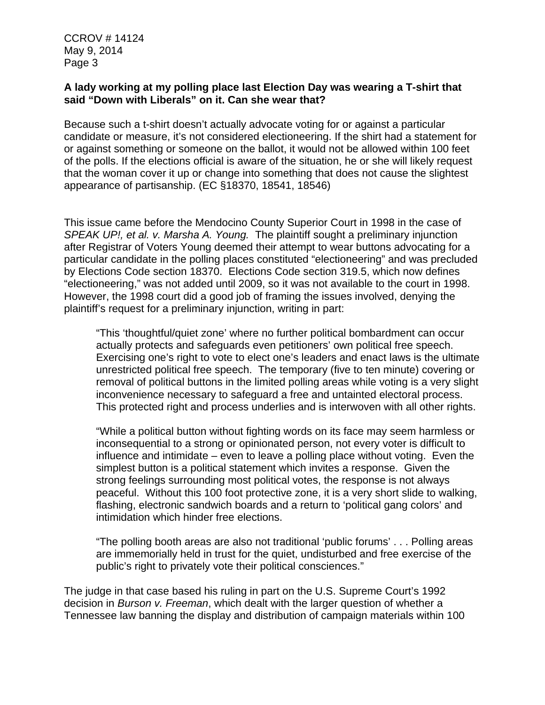CCROV # 14124 May 9, 2014 Page 3

## **A lady working at my polling place last Election Day was wearing a T-shirt that said "Down with Liberals" on it. Can she wear that?**

Because such a t-shirt doesn't actually advocate voting for or against a particular candidate or measure, it's not considered electioneering. If the shirt had a statement for or against something or someone on the ballot, it would not be allowed within 100 feet of the polls. If the elections official is aware of the situation, he or she will likely request that the woman cover it up or change into something that does not cause the slightest appearance of partisanship. (EC §18370, 18541, 18546)

This issue came before the Mendocino County Superior Court in 1998 in the case of *SPEAK UP!, et al. v. Marsha A. Young.* The plaintiff sought a preliminary injunction after Registrar of Voters Young deemed their attempt to wear buttons advocating for a particular candidate in the polling places constituted "electioneering" and was precluded by Elections Code section 18370. Elections Code section 319.5, which now defines "electioneering," was not added until 2009, so it was not available to the court in 1998. However, the 1998 court did a good job of framing the issues involved, denying the plaintiff's request for a preliminary injunction, writing in part:

"This 'thoughtful/quiet zone' where no further political bombardment can occur actually protects and safeguards even petitioners' own political free speech. Exercising one's right to vote to elect one's leaders and enact laws is the ultimate unrestricted political free speech. The temporary (five to ten minute) covering or removal of political buttons in the limited polling areas while voting is a very slight inconvenience necessary to safeguard a free and untainted electoral process. This protected right and process underlies and is interwoven with all other rights.

"While a political button without fighting words on its face may seem harmless or inconsequential to a strong or opinionated person, not every voter is difficult to influence and intimidate – even to leave a polling place without voting. Even the simplest button is a political statement which invites a response. Given the strong feelings surrounding most political votes, the response is not always peaceful. Without this 100 foot protective zone, it is a very short slide to walking, flashing, electronic sandwich boards and a return to 'political gang colors' and intimidation which hinder free elections.

"The polling booth areas are also not traditional 'public forums' . . . Polling areas are immemorially held in trust for the quiet, undisturbed and free exercise of the public's right to privately vote their political consciences."

The judge in that case based his ruling in part on the U.S. Supreme Court's 1992 decision in *Burson v. Freeman*, which dealt with the larger question of whether a Tennessee law banning the display and distribution of campaign materials within 100